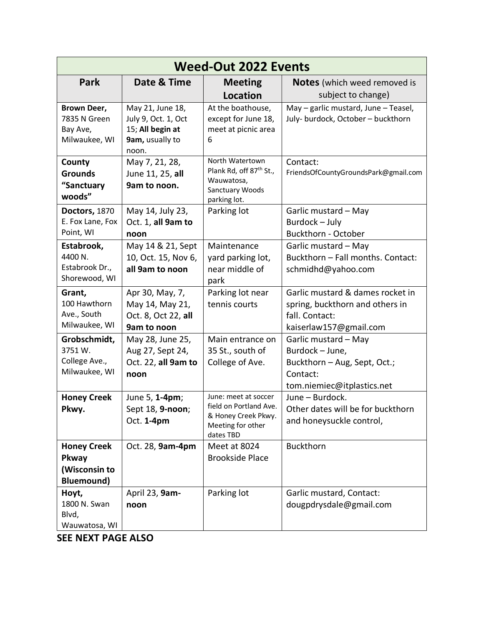| <b>Weed-Out 2022 Events</b>                                       |                                                                                         |                                                                                                         |                                                                                                                   |  |  |
|-------------------------------------------------------------------|-----------------------------------------------------------------------------------------|---------------------------------------------------------------------------------------------------------|-------------------------------------------------------------------------------------------------------------------|--|--|
| Park                                                              | Date & Time                                                                             | <b>Meeting</b>                                                                                          | <b>Notes</b> (which weed removed is                                                                               |  |  |
|                                                                   |                                                                                         | <b>Location</b>                                                                                         | subject to change)                                                                                                |  |  |
| Brown Deer,<br>7835 N Green<br>Bay Ave,<br>Milwaukee, WI          | May 21, June 18,<br>July 9, Oct. 1, Oct<br>15; All begin at<br>9am, usually to<br>noon. | At the boathouse,<br>except for June 18,<br>meet at picnic area<br>6                                    | May - garlic mustard, June - Teasel,<br>July- burdock, October - buckthorn                                        |  |  |
| County<br><b>Grounds</b><br>"Sanctuary<br>woods"                  | May 7, 21, 28,<br>June 11, 25, all<br>9am to noon.                                      | North Watertown<br>Plank Rd, off 87 <sup>th</sup> St.,<br>Wauwatosa,<br>Sanctuary Woods<br>parking lot. | Contact:<br>FriendsOfCountyGroundsPark@gmail.com                                                                  |  |  |
| Doctors, 1870<br>E. Fox Lane, Fox<br>Point, WI                    | May 14, July 23,<br>Oct. 1, all 9am to<br>noon                                          | Parking lot                                                                                             | Garlic mustard - May<br>Burdock - July<br>Buckthorn - October                                                     |  |  |
| Estabrook,<br>4400 N.<br>Estabrook Dr.,<br>Shorewood, WI          | May 14 & 21, Sept<br>10, Oct. 15, Nov 6,<br>all 9am to noon                             | Maintenance<br>yard parking lot,<br>near middle of<br>park                                              | Garlic mustard - May<br>Buckthorn - Fall months. Contact:<br>schmidhd@yahoo.com                                   |  |  |
| Grant,<br>100 Hawthorn<br>Ave., South<br>Milwaukee, WI            | Apr 30, May, 7,<br>May 14, May 21,<br>Oct. 8, Oct 22, all<br>9am to noon                | Parking lot near<br>tennis courts                                                                       | Garlic mustard & dames rocket in<br>spring, buckthorn and others in<br>fall. Contact:<br>kaiserlaw157@gmail.com   |  |  |
| Grobschmidt,<br>3751 W.<br>College Ave.,<br>Milwaukee, WI         | May 28, June 25,<br>Aug 27, Sept 24,<br>Oct. 22, all 9am to<br>noon                     | Main entrance on<br>35 St., south of<br>College of Ave.                                                 | Garlic mustard - May<br>Burdock - June,<br>Buckthorn - Aug, Sept, Oct.;<br>Contact:<br>tom.niemiec@itplastics.net |  |  |
| <b>Honey Creek</b><br>Pkwy.                                       | June 5, 1-4pm;<br>Sept 18, 9-noon;<br>Oct. 1-4pm                                        | June: meet at soccer<br>field on Portland Ave.<br>& Honey Creek Pkwy.<br>Meeting for other<br>dates TBD | June - Burdock.<br>Other dates will be for buckthorn<br>and honeysuckle control,                                  |  |  |
| <b>Honey Creek</b><br>Pkway<br>(Wisconsin to<br><b>Bluemound)</b> | Oct. 28, 9am-4pm                                                                        | Meet at 8024<br><b>Brookside Place</b>                                                                  | <b>Buckthorn</b>                                                                                                  |  |  |
| Hoyt,<br>1800 N. Swan<br>Blvd,<br>Wauwatosa, WI                   | April 23, 9am-<br>noon                                                                  | Parking lot                                                                                             | Garlic mustard, Contact:<br>dougpdrysdale@gmail.com                                                               |  |  |

**SEE NEXT PAGE ALSO**